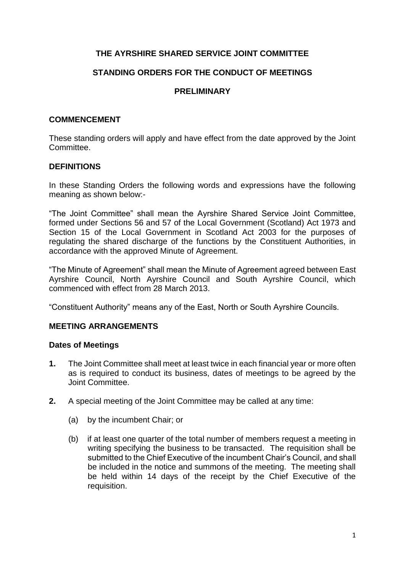# **THE AYRSHIRE SHARED SERVICE JOINT COMMITTEE**

## **STANDING ORDERS FOR THE CONDUCT OF MEETINGS**

## **PRELIMINARY**

#### **COMMENCEMENT**

These standing orders will apply and have effect from the date approved by the Joint Committee.

#### **DEFINITIONS**

In these Standing Orders the following words and expressions have the following meaning as shown below:-

"The Joint Committee" shall mean the Ayrshire Shared Service Joint Committee, formed under Sections 56 and 57 of the Local Government (Scotland) Act 1973 and Section 15 of the Local Government in Scotland Act 2003 for the purposes of regulating the shared discharge of the functions by the Constituent Authorities, in accordance with the approved Minute of Agreement.

"The Minute of Agreement" shall mean the Minute of Agreement agreed between East Ayrshire Council, North Ayrshire Council and South Ayrshire Council, which commenced with effect from 28 March 2013.

"Constituent Authority" means any of the East, North or South Ayrshire Councils.

#### **MEETING ARRANGEMENTS**

#### **Dates of Meetings**

- **1.** The Joint Committee shall meet at least twice in each financial year or more often as is required to conduct its business, dates of meetings to be agreed by the Joint Committee.
- **2.** A special meeting of the Joint Committee may be called at any time:
	- (a) by the incumbent Chair; or
	- (b) if at least one quarter of the total number of members request a meeting in writing specifying the business to be transacted. The requisition shall be submitted to the Chief Executive of the incumbent Chair's Council, and shall be included in the notice and summons of the meeting. The meeting shall be held within 14 days of the receipt by the Chief Executive of the requisition.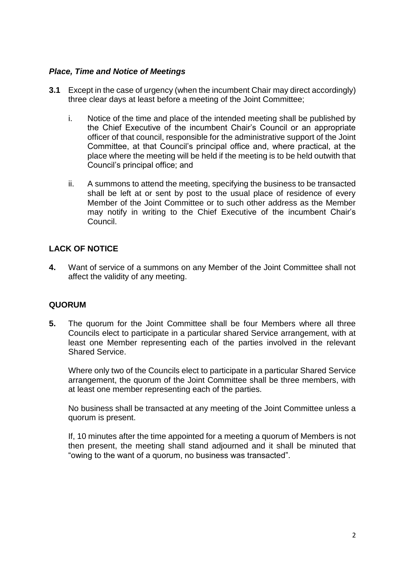## *Place, Time and Notice of Meetings*

- **3.1** Except in the case of urgency (when the incumbent Chair may direct accordingly) three clear days at least before a meeting of the Joint Committee;
	- i. Notice of the time and place of the intended meeting shall be published by the Chief Executive of the incumbent Chair's Council or an appropriate officer of that council, responsible for the administrative support of the Joint Committee, at that Council's principal office and, where practical, at the place where the meeting will be held if the meeting is to be held outwith that Council's principal office; and
	- ii. A summons to attend the meeting, specifying the business to be transacted shall be left at or sent by post to the usual place of residence of every Member of the Joint Committee or to such other address as the Member may notify in writing to the Chief Executive of the incumbent Chair's Council.

# **LACK OF NOTICE**

**4.** Want of service of a summons on any Member of the Joint Committee shall not affect the validity of any meeting.

## **QUORUM**

**5.** The quorum for the Joint Committee shall be four Members where all three Councils elect to participate in a particular shared Service arrangement, with at least one Member representing each of the parties involved in the relevant Shared Service.

Where only two of the Councils elect to participate in a particular Shared Service arrangement, the quorum of the Joint Committee shall be three members, with at least one member representing each of the parties.

No business shall be transacted at any meeting of the Joint Committee unless a quorum is present.

If, 10 minutes after the time appointed for a meeting a quorum of Members is not then present, the meeting shall stand adjourned and it shall be minuted that "owing to the want of a quorum, no business was transacted".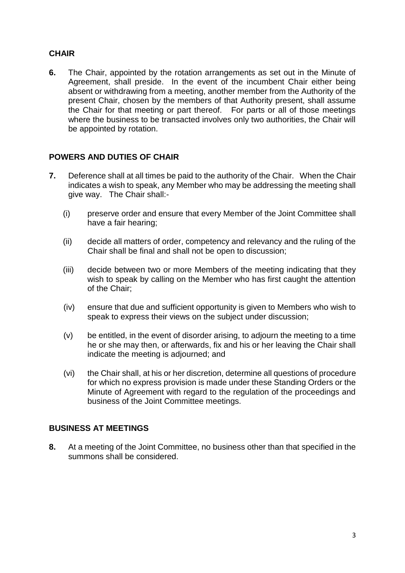# **CHAIR**

**6.** The Chair, appointed by the rotation arrangements as set out in the Minute of Agreement, shall preside. In the event of the incumbent Chair either being absent or withdrawing from a meeting, another member from the Authority of the present Chair, chosen by the members of that Authority present, shall assume the Chair for that meeting or part thereof. For parts or all of those meetings where the business to be transacted involves only two authorities, the Chair will be appointed by rotation.

## **POWERS AND DUTIES OF CHAIR**

- **7.** Deference shall at all times be paid to the authority of the Chair. When the Chair indicates a wish to speak, any Member who may be addressing the meeting shall give way. The Chair shall:-
	- (i) preserve order and ensure that every Member of the Joint Committee shall have a fair hearing;
	- (ii) decide all matters of order, competency and relevancy and the ruling of the Chair shall be final and shall not be open to discussion;
	- (iii) decide between two or more Members of the meeting indicating that they wish to speak by calling on the Member who has first caught the attention of the Chair;
	- (iv) ensure that due and sufficient opportunity is given to Members who wish to speak to express their views on the subject under discussion;
	- (v) be entitled, in the event of disorder arising, to adjourn the meeting to a time he or she may then, or afterwards, fix and his or her leaving the Chair shall indicate the meeting is adjourned; and
	- (vi) the Chair shall, at his or her discretion, determine all questions of procedure for which no express provision is made under these Standing Orders or the Minute of Agreement with regard to the regulation of the proceedings and business of the Joint Committee meetings.

## **BUSINESS AT MEETINGS**

**8.** At a meeting of the Joint Committee, no business other than that specified in the summons shall be considered.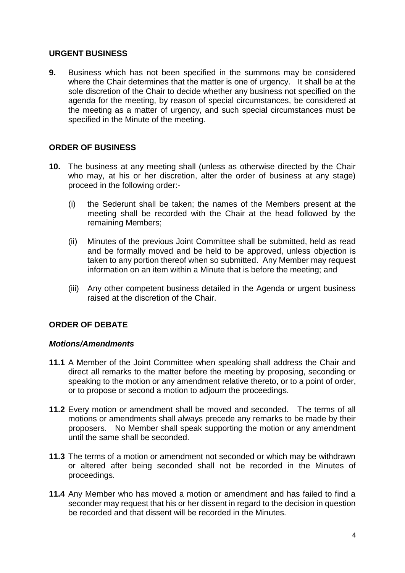#### **URGENT BUSINESS**

**9.** Business which has not been specified in the summons may be considered where the Chair determines that the matter is one of urgency. It shall be at the sole discretion of the Chair to decide whether any business not specified on the agenda for the meeting, by reason of special circumstances, be considered at the meeting as a matter of urgency, and such special circumstances must be specified in the Minute of the meeting.

## **ORDER OF BUSINESS**

- **10.** The business at any meeting shall (unless as otherwise directed by the Chair who may, at his or her discretion, alter the order of business at any stage) proceed in the following order:-
	- (i) the Sederunt shall be taken; the names of the Members present at the meeting shall be recorded with the Chair at the head followed by the remaining Members;
	- (ii) Minutes of the previous Joint Committee shall be submitted, held as read and be formally moved and be held to be approved, unless objection is taken to any portion thereof when so submitted. Any Member may request information on an item within a Minute that is before the meeting; and
	- (iii) Any other competent business detailed in the Agenda or urgent business raised at the discretion of the Chair.

## **ORDER OF DEBATE**

#### *Motions/Amendments*

- **11.1** A Member of the Joint Committee when speaking shall address the Chair and direct all remarks to the matter before the meeting by proposing, seconding or speaking to the motion or any amendment relative thereto, or to a point of order, or to propose or second a motion to adjourn the proceedings.
- **11.2** Every motion or amendment shall be moved and seconded. The terms of all motions or amendments shall always precede any remarks to be made by their proposers. No Member shall speak supporting the motion or any amendment until the same shall be seconded.
- **11.3** The terms of a motion or amendment not seconded or which may be withdrawn or altered after being seconded shall not be recorded in the Minutes of proceedings.
- **11.4** Any Member who has moved a motion or amendment and has failed to find a seconder may request that his or her dissent in regard to the decision in question be recorded and that dissent will be recorded in the Minutes.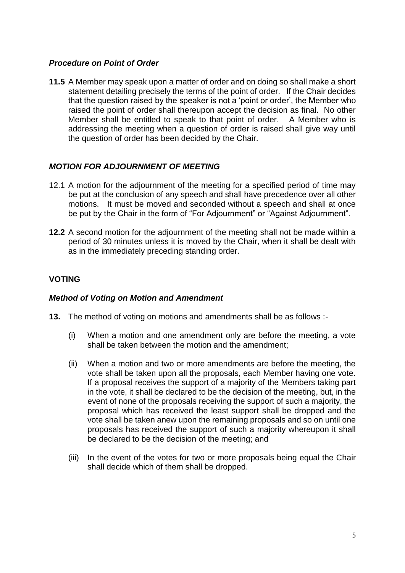### *Procedure on Point of Order*

**11.5** A Member may speak upon a matter of order and on doing so shall make a short statement detailing precisely the terms of the point of order. If the Chair decides that the question raised by the speaker is not a 'point or order', the Member who raised the point of order shall thereupon accept the decision as final. No other Member shall be entitled to speak to that point of order. A Member who is addressing the meeting when a question of order is raised shall give way until the question of order has been decided by the Chair.

## *MOTION FOR ADJOURNMENT OF MEETING*

- 12.1 A motion for the adjournment of the meeting for a specified period of time may be put at the conclusion of any speech and shall have precedence over all other motions. It must be moved and seconded without a speech and shall at once be put by the Chair in the form of "For Adjournment" or "Against Adjournment".
- **12.2** A second motion for the adjournment of the meeting shall not be made within a period of 30 minutes unless it is moved by the Chair, when it shall be dealt with as in the immediately preceding standing order.

## **VOTING**

#### *Method of Voting on Motion and Amendment*

- **13.** The method of voting on motions and amendments shall be as follows :-
	- (i) When a motion and one amendment only are before the meeting, a vote shall be taken between the motion and the amendment;
	- (ii) When a motion and two or more amendments are before the meeting, the vote shall be taken upon all the proposals, each Member having one vote. If a proposal receives the support of a majority of the Members taking part in the vote, it shall be declared to be the decision of the meeting, but, in the event of none of the proposals receiving the support of such a majority, the proposal which has received the least support shall be dropped and the vote shall be taken anew upon the remaining proposals and so on until one proposals has received the support of such a majority whereupon it shall be declared to be the decision of the meeting; and
	- (iii) In the event of the votes for two or more proposals being equal the Chair shall decide which of them shall be dropped.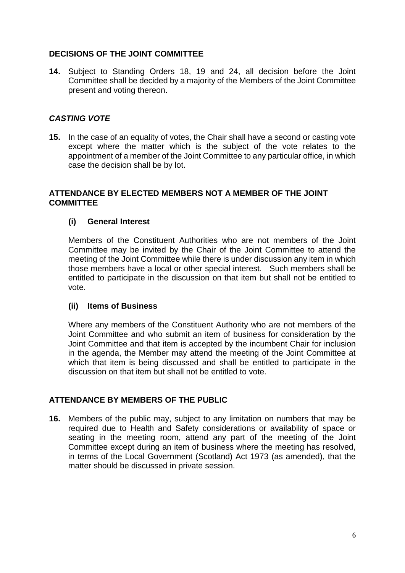# **DECISIONS OF THE JOINT COMMITTEE**

**14.** Subject to Standing Orders 18, 19 and 24, all decision before the Joint Committee shall be decided by a majority of the Members of the Joint Committee present and voting thereon.

## *CASTING VOTE*

**15.** In the case of an equality of votes, the Chair shall have a second or casting vote except where the matter which is the subject of the vote relates to the appointment of a member of the Joint Committee to any particular office, in which case the decision shall be by lot.

### **ATTENDANCE BY ELECTED MEMBERS NOT A MEMBER OF THE JOINT COMMITTEE**

## **(i) General Interest**

Members of the Constituent Authorities who are not members of the Joint Committee may be invited by the Chair of the Joint Committee to attend the meeting of the Joint Committee while there is under discussion any item in which those members have a local or other special interest. Such members shall be entitled to participate in the discussion on that item but shall not be entitled to vote.

#### **(ii) Items of Business**

Where any members of the Constituent Authority who are not members of the Joint Committee and who submit an item of business for consideration by the Joint Committee and that item is accepted by the incumbent Chair for inclusion in the agenda, the Member may attend the meeting of the Joint Committee at which that item is being discussed and shall be entitled to participate in the discussion on that item but shall not be entitled to vote.

## **ATTENDANCE BY MEMBERS OF THE PUBLIC**

**16.** Members of the public may, subject to any limitation on numbers that may be required due to Health and Safety considerations or availability of space or seating in the meeting room, attend any part of the meeting of the Joint Committee except during an item of business where the meeting has resolved, in terms of the Local Government (Scotland) Act 1973 (as amended), that the matter should be discussed in private session.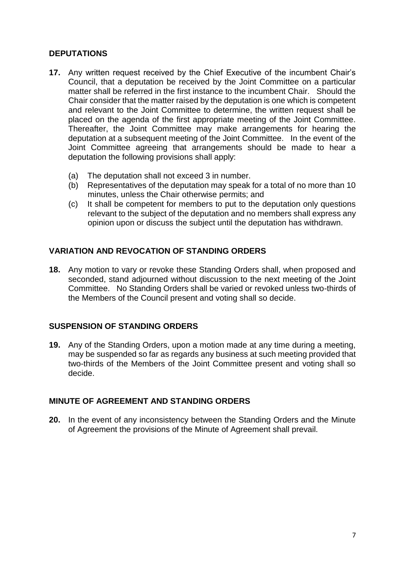## **DEPUTATIONS**

- **17.** Any written request received by the Chief Executive of the incumbent Chair's Council, that a deputation be received by the Joint Committee on a particular matter shall be referred in the first instance to the incumbent Chair. Should the Chair consider that the matter raised by the deputation is one which is competent and relevant to the Joint Committee to determine, the written request shall be placed on the agenda of the first appropriate meeting of the Joint Committee. Thereafter, the Joint Committee may make arrangements for hearing the deputation at a subsequent meeting of the Joint Committee. In the event of the Joint Committee agreeing that arrangements should be made to hear a deputation the following provisions shall apply:
	- (a) The deputation shall not exceed 3 in number.
	- (b) Representatives of the deputation may speak for a total of no more than 10 minutes, unless the Chair otherwise permits; and
	- (c) It shall be competent for members to put to the deputation only questions relevant to the subject of the deputation and no members shall express any opinion upon or discuss the subject until the deputation has withdrawn.

## **VARIATION AND REVOCATION OF STANDING ORDERS**

**18.** Any motion to vary or revoke these Standing Orders shall, when proposed and seconded, stand adjourned without discussion to the next meeting of the Joint Committee. No Standing Orders shall be varied or revoked unless two-thirds of the Members of the Council present and voting shall so decide.

#### **SUSPENSION OF STANDING ORDERS**

**19.** Any of the Standing Orders, upon a motion made at any time during a meeting, may be suspended so far as regards any business at such meeting provided that two-thirds of the Members of the Joint Committee present and voting shall so decide.

## **MINUTE OF AGREEMENT AND STANDING ORDERS**

**20.** In the event of any inconsistency between the Standing Orders and the Minute of Agreement the provisions of the Minute of Agreement shall prevail.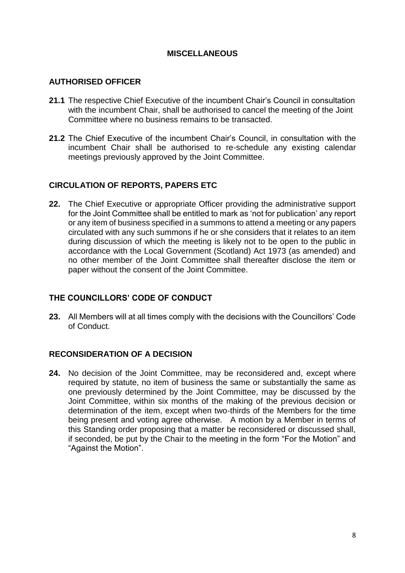## **MISCELLANEOUS**

### **AUTHORISED OFFICER**

- **21.1** The respective Chief Executive of the incumbent Chair's Council in consultation with the incumbent Chair, shall be authorised to cancel the meeting of the Joint Committee where no business remains to be transacted.
- **21.2** The Chief Executive of the incumbent Chair's Council, in consultation with the incumbent Chair shall be authorised to re-schedule any existing calendar meetings previously approved by the Joint Committee.

## **CIRCULATION OF REPORTS, PAPERS ETC**

**22.** The Chief Executive or appropriate Officer providing the administrative support for the Joint Committee shall be entitled to mark as 'not for publication' any report or any item of business specified in a summons to attend a meeting or any papers circulated with any such summons if he or she considers that it relates to an item during discussion of which the meeting is likely not to be open to the public in accordance with the Local Government (Scotland) Act 1973 (as amended) and no other member of the Joint Committee shall thereafter disclose the item or paper without the consent of the Joint Committee.

#### **THE COUNCILLORS' CODE OF CONDUCT**

**23.** All Members will at all times comply with the decisions with the Councillors' Code of Conduct.

#### **RECONSIDERATION OF A DECISION**

**24.** No decision of the Joint Committee, may be reconsidered and, except where required by statute, no item of business the same or substantially the same as one previously determined by the Joint Committee, may be discussed by the Joint Committee, within six months of the making of the previous decision or determination of the item, except when two-thirds of the Members for the time being present and voting agree otherwise. A motion by a Member in terms of this Standing order proposing that a matter be reconsidered or discussed shall, if seconded, be put by the Chair to the meeting in the form "For the Motion" and "Against the Motion".